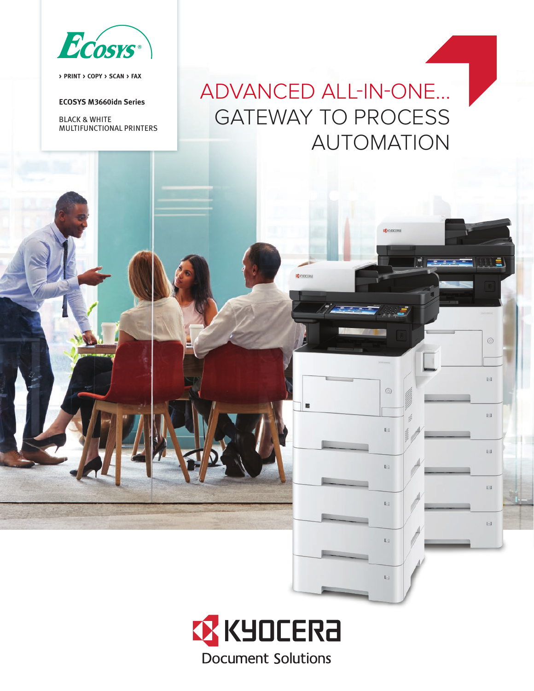

**> PRINT > COPY > SCAN > FAX**

#### **ECOSYS M3660idn Series**

BLACK & WHITE MULTIFUNCTIONAL PRINTERS

# ADVANCED ALL-IN-ONE... GATEWAY TO PROCESS AUTOMATION

**CE** KNOCERA

**C** KNOCERA

 $\circledcirc$ 

**Kill** 

E1

**E** 

**Di** 

p.

 $\circledcirc$ 

pig.

 $E1$ 

 $\mathbb{E} \mathbb{I}$ 

**DT** 

 $\mathbb{H}$ 

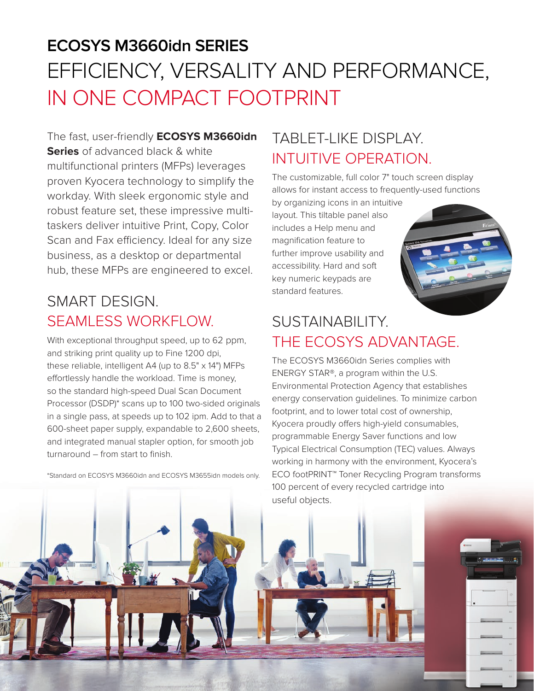# **ECOSYS M3660idn SERIES** EFFICIENCY, VERSALITY AND PERFORMANCE, IN ONE COMPACT FOOTPRINT

The fast, user-friendly **ECOSYS M3660idn Series** of advanced black & white multifunctional printers (MFPs) leverages proven Kyocera technology to simplify the workday. With sleek ergonomic style and robust feature set, these impressive multitaskers deliver intuitive Print, Copy, Color Scan and Fax efficiency. Ideal for any size business, as a desktop or departmental hub, these MFPs are engineered to excel.

### SMART DESIGN. SEAMLESS WORKFLOW.

With exceptional throughput speed, up to 62 ppm, and striking print quality up to Fine 1200 dpi, these reliable, intelligent A4 (up to 8.5" x 14") MFPs effortlessly handle the workload. Time is money, so the standard high-speed Dual Scan Document Processor (DSDP)\* scans up to 100 two-sided originals in a single pass, at speeds up to 102 ipm. Add to that a 600-sheet paper supply, expandable to 2,600 sheets, and integrated manual stapler option, for smooth job turnaround – from start to finish.

\*Standard on ECOSYS M3660idn and ECOSYS M3655idn models only.

# TABLET-LIKE DISPLAY. INTUITIVE OPERATION.

The customizable, full color 7" touch screen display allows for instant access to frequently-used functions

by organizing icons in an intuitive layout. This tiltable panel also includes a Help menu and magnification feature to further improve usability and accessibility. Hard and soft key numeric keypads are standard features.



## SUSTAINABILITY. THE ECOSYS ADVANTAGE.

The ECOSYS M3660idn Series complies with ENERGY STAR®, a program within the U.S. Environmental Protection Agency that establishes energy conservation guidelines. To minimize carbon footprint, and to lower total cost of ownership, Kyocera proudly offers high-yield consumables, programmable Energy Saver functions and low Typical Electrical Consumption (TEC) values. Always working in harmony with the environment, Kyocera's ECO footPRINT™ Toner Recycling Program transforms 100 percent of every recycled cartridge into

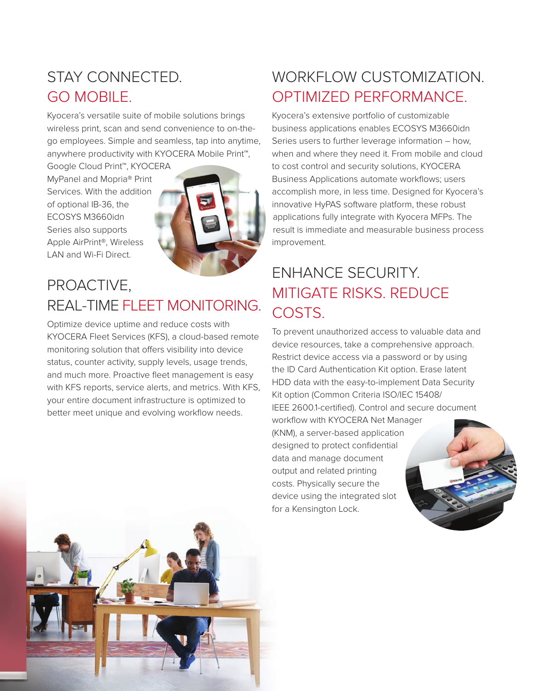### STAY CONNECTED. GO MOBILE.

Kyocera's versatile suite of mobile solutions brings wireless print, scan and send convenience to on-thego employees. Simple and seamless, tap into anytime, anywhere productivity with KYOCERA Mobile Print™,

Google Cloud Print™, KYOCERA MyPanel and Mopria® Print Services. With the addition of optional IB-36, the ECOSYS M3660idn Series also supports Apple AirPrint®, Wireless LAN and Wi-Fi Direct.



#### PROACTIVE, REAL-TIME FLEET MONITORING.

Optimize device uptime and reduce costs with KYOCERA Fleet Services (KFS), a cloud-based remote monitoring solution that offers visibility into device status, counter activity, supply levels, usage trends, and much more. Proactive fleet management is easy with KFS reports, service alerts, and metrics. With KFS, your entire document infrastructure is optimized to better meet unique and evolving workflow needs.

### WORKFLOW CUSTOMIZATION. OPTIMIZED PERFORMANCE.

Kyocera's extensive portfolio of customizable business applications enables ECOSYS M3660idn Series users to further leverage information – how, when and where they need it. From mobile and cloud to cost control and security solutions, KYOCERA Business Applications automate workflows; users accomplish more, in less time. Designed for Kyocera's innovative HyPAS software platform, these robust applications fully integrate with Kyocera MFPs. The result is immediate and measurable business process improvement.

## ENHANCE SECURITY. MITIGATE RISKS. REDUCE COSTS.

To prevent unauthorized access to valuable data and device resources, take a comprehensive approach. Restrict device access via a password or by using the ID Card Authentication Kit option. Erase latent HDD data with the easy-to-implement Data Security Kit option (Common Criteria ISO/IEC 15408/ IEEE 2600.1-certified). Control and secure document workflow with KYOCERA Net Manager (KNM), a server-based application designed to protect confidential data and manage document output and related printing costs. Physically secure the device using the integrated slot for a Kensington Lock.